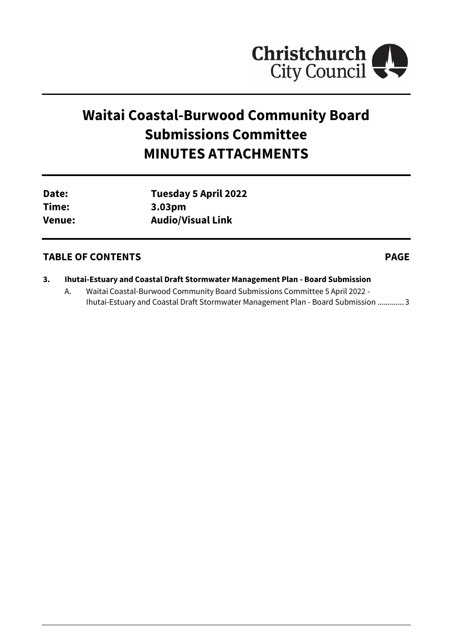

# **Waitai Coastal-Burwood Community Board Submissions Committee MINUTES ATTACHMENTS**

| Date:  | <b>Tuesday 5 April 2022</b> |
|--------|-----------------------------|
| Time:  | 3.03 <sub>pm</sub>          |
| Venue: | <b>Audio/Visual Link</b>    |

## **TABLE OF CONTENTS PAGE**

- **3. Ihutai-Estuary and Coastal Draft Stormwater Management Plan - Board Submission**
	- A. Waitai Coastal-Burwood Community Board Submissions Committee 5 April 2022 Ihutai-Estuary and Coastal Draft Stormwater Management Plan - Board Submission ............. [3](#page-2-0)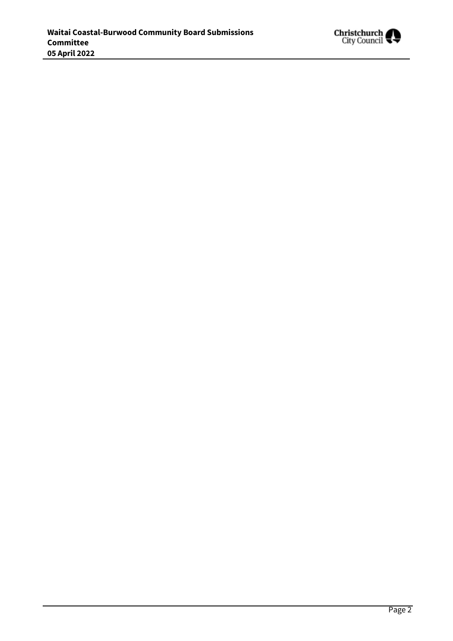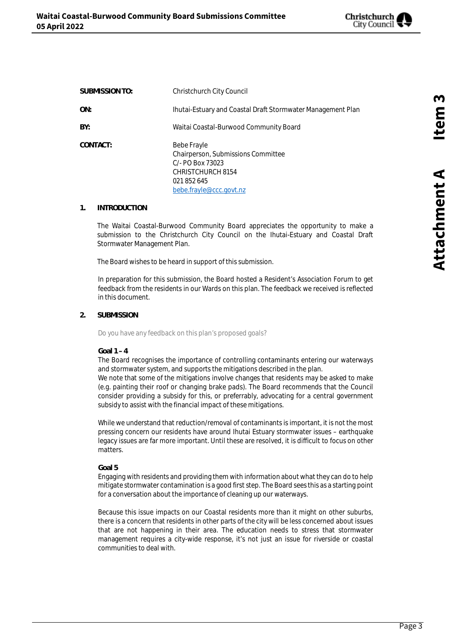<span id="page-2-0"></span>

| <b>SUBMISSION TO:</b> | Christchurch City Council                                                                                                            |
|-----------------------|--------------------------------------------------------------------------------------------------------------------------------------|
| ON:                   | Ihutai-Estuary and Coastal Draft Stormwater Management Plan                                                                          |
| BY:                   | Waitai Coastal-Burwood Community Board                                                                                               |
| CONTACT:              | Bebe Frayle<br>Chairperson, Submissions Committee<br>C/- PO Box 73023<br>CHRISTCHURCH 8154<br>021 852 645<br>bebe.frayle@ccc.govt.nz |

#### **1. INTRODUCTION**

The Waitai Coastal-Burwood Community Board appreciates the opportunity to make a submission to the Christchurch City Council on the Ihutai-Estuary and Coastal Draft Stormwater Management Plan.

The Board wishes to be heard in support of this submission.

In preparation for this submission, the Board hosted a Resident's Association Forum to get feedback from the residents in our Wards on this plan. The feedback we received is reflected in this document.

### **2. SUBMISSION**

Do you have any feedback on this plan's proposed goals?

#### **Goal 1 – 4**

The Board recognises the importance of controlling contaminants entering our waterways and stormwater system, and supports the mitigations described in the plan.

We note that some of the mitigations involve changes that residents may be asked to make (e.g. painting their roof or changing brake pads). The Board recommends that the Council consider providing a subsidy for this, or preferrably, advocating for a central government subsidy to assist with the financial impact of these mitigations.

While we understand that reduction/removal of contaminants is important, it is not the most pressing concern our residents have around Ihutai Estuary stormwater issues – earthquake legacy issues are far more important. Until these are resolved, it is difficult to focus on other matters.

#### **Goal 5**

Engaging with residents and providing them with information about what they can do to help mitigate stormwater contamination is a good first step. The Board sees this as a starting point for a conversation about the importance of cleaning up our waterways.

Because this issue impacts on our Coastal residents more than it might on other suburbs, there is a concern that residents in other parts of the city will be less concerned about issues that are not happening in their area. The education needs to stress that stormwater management requires a city-wide response, it's not just an issue for riverside or coastal communities to deal with.